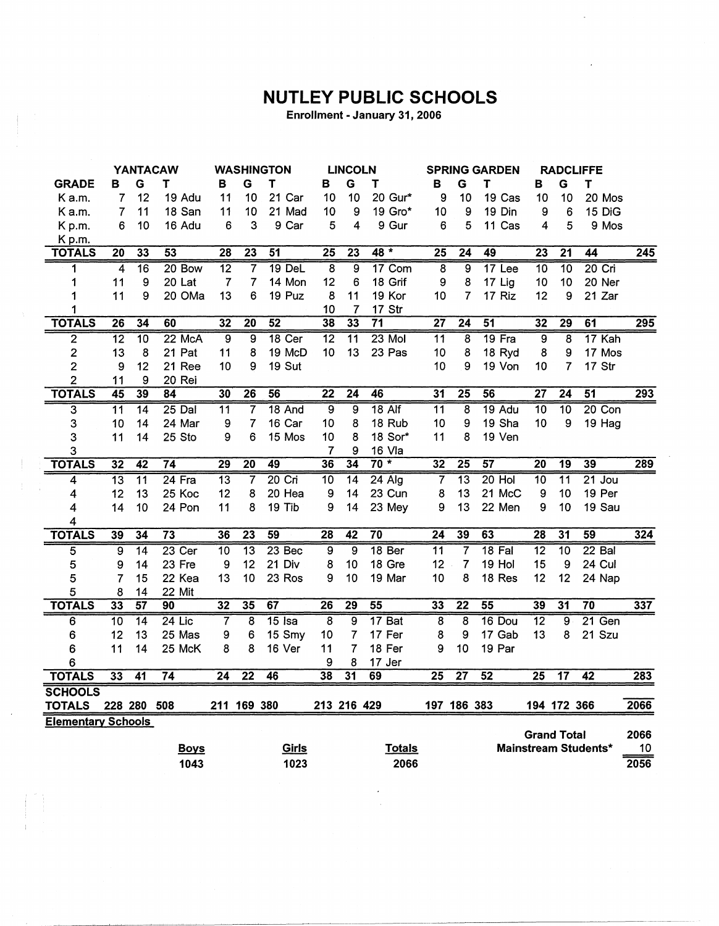## **NUTLEY PUBLIC SCHOOLS**

Enrollment - January 31, 2006

|                           | <b>YANTACAW</b> |                 |                 | <b>WASHINGTON</b> |                         |                 |                 | <b>LINCOLN</b>           |                 |                 | <b>SPRING GARDEN</b>    |                 |                    | <b>RADCLIFFE</b> |                      |      |
|---------------------------|-----------------|-----------------|-----------------|-------------------|-------------------------|-----------------|-----------------|--------------------------|-----------------|-----------------|-------------------------|-----------------|--------------------|------------------|----------------------|------|
| <b>GRADE</b>              | в               | G               | т               | в                 | G                       | Τ               | в               | G                        | т               | В               | G                       | т               | в                  | G                | T                    |      |
| K a.m.                    | 7               | 12              | 19 Adu          | 11                | 10                      | 21 Car          | 10              | 10                       | 20 Gur*         | 9               | 10                      | 19 Cas          | 10                 | 10               | 20 Mos               |      |
| K a.m.                    | 7               | 11              | 18 San          | 11                | 10                      | 21 Mad          | 10              | 9                        | 19 Gro*         | 10              | 9                       | 19 Din          | 9                  | 6                | 15 DiG               |      |
| Kp.m.                     | 6               | 10              | 16 Adu          | 6                 | 3                       | 9 Car           | 5               | 4                        | 9 Gur           | 6               | 5                       | 11 Cas          | 4                  | 5                | 9 Mos                |      |
| K p.m.                    |                 |                 |                 |                   |                         |                 |                 |                          |                 |                 |                         |                 |                    |                  |                      |      |
| <b>TOTALS</b>             | $\overline{20}$ | 33              | 53              | $\overline{28}$   | $\overline{23}$         | $\overline{51}$ | $\overline{25}$ | $\overline{23}$          | $48 *$          | $\overline{25}$ | $\overline{24}$         | 49              | $\overline{23}$    | $\overline{21}$  | 44                   | 245  |
| 1                         | 4               | $\overline{16}$ | 20 Bow          | $\overline{12}$   | 7                       | 19 DeL          | $\overline{8}$  | 9                        | 17 Com          | 8               | $\overline{9}$          | 17 Lee          | $\overline{10}$    | $\overline{10}$  | $20$ Cri             |      |
| 1                         | 11              | 9               | 20 Lat          | $\overline{7}$    | $\overline{7}$          | 14 Mon          | 12              | 6                        | 18 Grif         | 9               | 8                       | 17 Lig          | 10                 | 10               | 20 Ner               |      |
| 1                         | 11              | 9               | 20 OMa          | 13                | 6                       | 19 Puz          | 8               | 11                       | 19 Kor          | 10              | $\overline{7}$          | 17 Riz          | 12                 | 9                | 21 Zar               |      |
| 1                         |                 |                 |                 |                   |                         |                 | 10              | 7                        | 17 Str          |                 |                         |                 |                    |                  |                      |      |
| <b>TOTALS</b>             | $\overline{26}$ | 34              | 60              | 32                | $\overline{20}$         | 52              | 38              | 33                       | $\overline{71}$ | $\overline{27}$ | 24                      | $\overline{51}$ | 32                 | $\overline{29}$  | 61                   | 295  |
| $\overline{2}$            | $\overline{12}$ | 10              | 22 McA          | 9                 | $\overline{9}$          | $18$ Cer        | $\overline{12}$ | $\overline{11}$          | $23$ Mol        | $\overline{11}$ | $\overline{8}$          | 19 Fra          | 9                  | $\overline{8}$   | 17 Kah               |      |
| 2                         | 13              | 8               | 21 Pat          | 11                | 8                       | 19 McD          | 10              | 13                       | 23 Pas          | 10              | 8                       | 18 Ryd          | 8                  | 9                | 17 Mos               |      |
| $\overline{2}$            | 9               | 12              | 21 Ree          | 10                | 9                       | 19 Sut          |                 |                          |                 | 10              | 9                       | 19 Von          | 10                 | $\overline{7}$   | 17 Str               |      |
| $\overline{c}$            | 11              | 9               | 20 Rei          |                   |                         |                 |                 |                          |                 |                 |                         |                 |                    |                  |                      |      |
| <b>TOTALS</b>             | $\overline{45}$ | 39              | 84              | 30                | $\overline{26}$         | 56              | $\overline{22}$ | $\overline{24}$          | 46              | 31              | $\overline{25}$         | 56              | $\overline{27}$    | $\overline{24}$  | $\overline{51}$      | 293  |
| 3                         | $\overline{11}$ | $\overline{14}$ | $25$ Dal        | 11                | 7                       | 18 And          | $\overline{9}$  | 9                        | $18$ Alf        | 11              | 8                       | 19 Adu          | 10                 | 10               | 20 Con               |      |
| 3                         | 10              | 14              | 24 Mar          | 9                 | 7                       | 16 Car          | 10              | 8                        | 18 Rub          | 10              | 9                       | 19 Sha          | 10                 | 9                | 19 Hag               |      |
| 3                         | 11              | 14              | 25 Sto          | 9                 | 6                       | 15 Mos          | 10              | 8                        | 18 Sor*         | 11              | 8                       | 19 Ven          |                    |                  |                      |      |
| 3                         |                 |                 |                 |                   |                         |                 | $\overline{7}$  | 9                        | 16 Vla          |                 |                         |                 |                    |                  |                      |      |
| <b>TOTALS</b>             | 32              | $\overline{42}$ | 74              | $\overline{29}$   | $\overline{20}$         | 49              | 36              | 34                       | $70*$           | 32              | $\overline{25}$         | 57              | $\overline{20}$    | $\overline{19}$  | 39                   | 289  |
| 4                         | $\overline{13}$ | $\overline{11}$ | $24$ Fra        | $\overline{13}$   | $\overline{7}$          | $20$ Cri        | 10              | 14                       | $24$ Alg        | 7               | $\overline{13}$         | $20$ Hol        | $\overline{10}$    | $\overline{11}$  | $21$ Jou             |      |
| 4                         | 12              | 13              | 25 Koc          | 12                | 8                       | 20 Hea          | 9               | 14                       | 23 Cun          | 8               | 13                      | 21 McC          | 9                  | 10               | 19 Per               |      |
| 4                         | 14              | 10              | 24 Pon          | 11                | 8                       | 19 Tib          | 9               | 14                       | 23 Mey          | 9               | 13                      | 22 Men          | 9                  | 10               | 19 Sau               |      |
| 4                         |                 |                 |                 |                   |                         |                 |                 |                          |                 |                 |                         |                 |                    |                  |                      |      |
| <b>TOTALS</b>             | 39              | 34              | $\overline{73}$ | 36                | $\overline{23}$         | 59              | 28              | 42                       | $\overline{70}$ | $\overline{24}$ | 39                      | 63              | 28                 | $\overline{31}$  | $\overline{59}$      | 324  |
| 5                         | 9               | $\overline{14}$ | $23$ Cer        | 10                | $\overline{13}$         | 23 Bec          | 9               | 9                        | 18 Ber          | $\overline{11}$ | $\overline{7}$          | 18 Fal          | $\overline{12}$    | $\overline{10}$  | 22 Bal               |      |
| 5                         | 9               | 14              | 23 Fre          | 9                 | 12                      | 21 Div          | 8               | 10                       | 18 Gre          | 12              | $\overline{7}$          | 19 Hol          | 15                 | 9                | 24 Cul               |      |
| 5                         | 7               | 15              | 22 Kea          | 13                | 10                      | 23 Ros          | 9               | 10                       | 19 Mar          | 10              | 8                       | 18 Res          | 12                 | 12               | 24 Nap               |      |
| 5                         | 8               | 14              | 22 Mit          |                   |                         |                 |                 |                          |                 |                 |                         |                 |                    |                  |                      |      |
| <b>TOTALS</b>             | 33              | 57              | 90              | 32                | 35                      | 67              | 26              | $\overline{29}$          | $\overline{55}$ | 33              | $\overline{22}$         | $\overline{55}$ | 39                 | 31               | $\overline{70}$      | 337  |
| 6                         | 10              | $\overline{14}$ | $24$ Lic        | $\overline{7}$    | $\overline{\mathbf{8}}$ | $15$ Isa        | $\overline{8}$  | $\overline{9}$           | 17 Bat          | $\overline{8}$  | $\overline{\mathbf{8}}$ | 16 Dou          | $\overline{12}$    | $\overline{9}$   | $21$ Gen             |      |
| 6                         | 12              | 13              | 25 Mas          | 9                 | 6                       | 15 Smy          | 10              | 7                        | 17 Fer          | 8               | 9                       | 17 Gab          | 13                 | 8                | 21 Szu               |      |
| 6                         | 11              | 14              | 25 McK          | 8                 | 8                       | 16 Ver          | 11              | $\overline{\mathcal{L}}$ | 18 Fer          | 9               | 10                      | 19 Par          |                    |                  |                      |      |
| 6                         |                 |                 |                 |                   |                         |                 | 9               | 8                        | 17 Jer          |                 |                         |                 |                    |                  |                      |      |
| <b>TOTALS</b>             | 33              | $\overline{41}$ | 74              | $\overline{24}$   | $\overline{22}$         | 46              | 38              | $\overline{31}$          | 69              | $\overline{25}$ | $\overline{27}$         | $\overline{52}$ | $\overline{25}$    | $\overline{17}$  | $\overline{42}$      | 283  |
| <b>SCHOOLS</b>            |                 |                 |                 |                   |                         |                 |                 |                          |                 |                 |                         |                 |                    |                  |                      |      |
| <b>TOTALS</b>             |                 | 228 280         | 508             |                   | 211 169 380             |                 | 213 216 429     |                          |                 |                 | 197 186 383             |                 |                    | 194 172 366      |                      | 2066 |
| <b>Elementary Schools</b> |                 |                 |                 |                   |                         |                 |                 |                          |                 |                 |                         |                 |                    |                  |                      |      |
|                           |                 |                 |                 |                   |                         |                 |                 |                          |                 |                 |                         |                 | <b>Grand Total</b> |                  |                      | 2066 |
|                           |                 |                 | <b>Boys</b>     |                   |                         | Girls           |                 |                          | <b>Totals</b>   |                 |                         |                 |                    |                  | Mainstream Students* | 10   |
|                           |                 |                 | 1043            |                   |                         | 1023            |                 |                          | 2066            |                 |                         |                 |                    |                  |                      | 2056 |